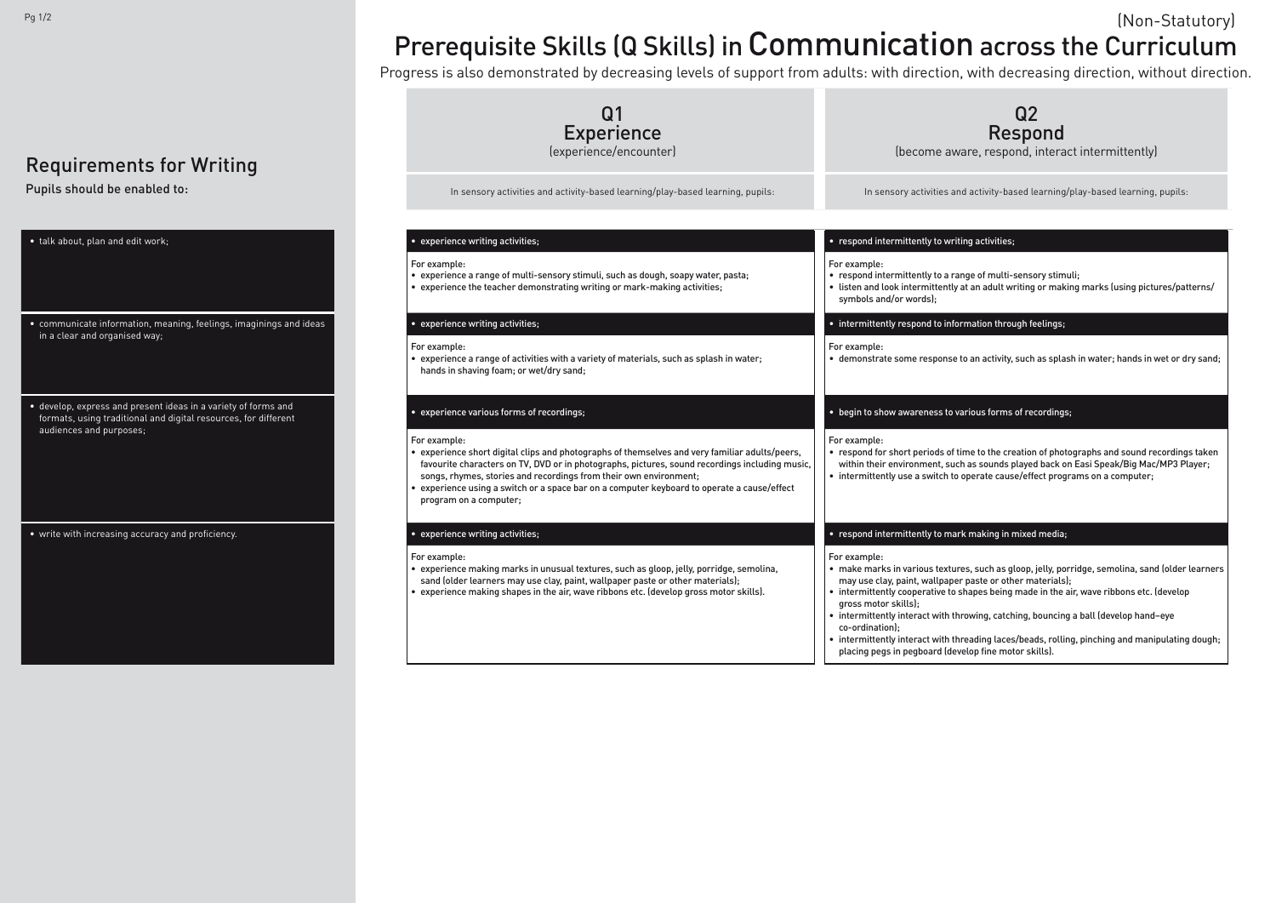## Requirements for Writing

Pupils should be enabled to:

| • talk about, plan and edit work;                                                                                                                            |  |
|--------------------------------------------------------------------------------------------------------------------------------------------------------------|--|
| • communicate information, meaning, feelings, imaginings and ideas<br>in a clear and organised way;                                                          |  |
| · develop, express and present ideas in a variety of forms and<br>formats, using traditional and digital resources, for different<br>audiences and purposes; |  |
| • write with increasing accuracy and proficiency.                                                                                                            |  |

Q2 Respond

re, respond, interact intermittently)

activity-based learning/play-based learning, pupils:

ge of multi-sensory stimuli;  $\alpha$  an adult writing or making marks (using pictures/patterns/

ation through feelings;

an activity, such as splash in water; hands in wet or dry sand;

### ious forms of recordings;

he to the creation of photographs and sound recordings taken as sounds played back on Easi Speak/Big Mac/MP3 Player; perate cause/effect programs on a computer;

### making in mixed media;

 $\mathbf s$ , such as gloop, jelly, porridge, semolina, sand (older learners paste or other materials);

apes being made in the air, wave ribbons etc. (develop

wing, catching, bouncing a ball (develop hand–eye

ading laces/beads, rolling, pinching and manipulating dough; lop fine motor skills).

# Prerequisite Skills (Q Skills) in Communication across the Curriculum Pg  $1/2$  (Non-Statutory)

| <b>Experience</b><br>(experience/encounter)                                                                                                                                                                                                                                                                                                                                                                    | Re:<br>(become aware, respo                                                                                                                                                                                                                                                                                                                             |
|----------------------------------------------------------------------------------------------------------------------------------------------------------------------------------------------------------------------------------------------------------------------------------------------------------------------------------------------------------------------------------------------------------------|---------------------------------------------------------------------------------------------------------------------------------------------------------------------------------------------------------------------------------------------------------------------------------------------------------------------------------------------------------|
| In sensory activities and activity-based learning/play-based learning, pupils:                                                                                                                                                                                                                                                                                                                                 | In sensory activities and activity-ba                                                                                                                                                                                                                                                                                                                   |
|                                                                                                                                                                                                                                                                                                                                                                                                                |                                                                                                                                                                                                                                                                                                                                                         |
| • experience writing activities;                                                                                                                                                                                                                                                                                                                                                                               | • respond intermittently to writing activities;                                                                                                                                                                                                                                                                                                         |
| For example:<br>• experience a range of multi-sensory stimuli, such as dough, soapy water, pasta;<br>• experience the teacher demonstrating writing or mark-making activities;                                                                                                                                                                                                                                 | For example:<br>• respond intermittently to a range of multi-<br>• listen and look intermittently at an adult w<br>symbols and/or words);                                                                                                                                                                                                               |
| • experience writing activities;                                                                                                                                                                                                                                                                                                                                                                               | • intermittently respond to information throu                                                                                                                                                                                                                                                                                                           |
| For example:<br>• experience a range of activities with a variety of materials, such as splash in water;<br>hands in shaving foam; or wet/dry sand;                                                                                                                                                                                                                                                            | For example:<br>· demonstrate some response to an activity,                                                                                                                                                                                                                                                                                             |
| • experience various forms of recordings;                                                                                                                                                                                                                                                                                                                                                                      | • begin to show awareness to various forms                                                                                                                                                                                                                                                                                                              |
| For example:<br>• experience short digital clips and photographs of themselves and very familiar adults/peers,<br>favourite characters on TV, DVD or in photographs, pictures, sound recordings including music,<br>songs, rhymes, stories and recordings from their own environment;<br>• experience using a switch or a space bar on a computer keyboard to operate a cause/effect<br>program on a computer; | For example:<br>• respond for short periods of time to the cre<br>within their environment, such as sounds p<br>• intermittently use a switch to operate caus                                                                                                                                                                                           |
| • experience writing activities;                                                                                                                                                                                                                                                                                                                                                                               | • respond intermittently to mark making in r                                                                                                                                                                                                                                                                                                            |
| For example:<br>• experience making marks in unusual textures, such as gloop, jelly, porridge, semolina,<br>sand (older learners may use clay, paint, wallpaper paste or other materials);<br>• experience making shapes in the air, wave ribbons etc. (develop gross motor skills).                                                                                                                           | For example:<br>· make marks in various textures, such as g<br>may use clay, paint, wallpaper paste or oth<br>• intermittently cooperative to shapes being<br>gross motor skills);<br>• intermittently interact with throwing, catch<br>co-ordination);<br>• intermittently interact with threading laces<br>placing pegs in pegboard (develop fine mot |

Progress is also demonstrated by decreasing levels of support from adults: with direction, with decreasing direction, without direction.